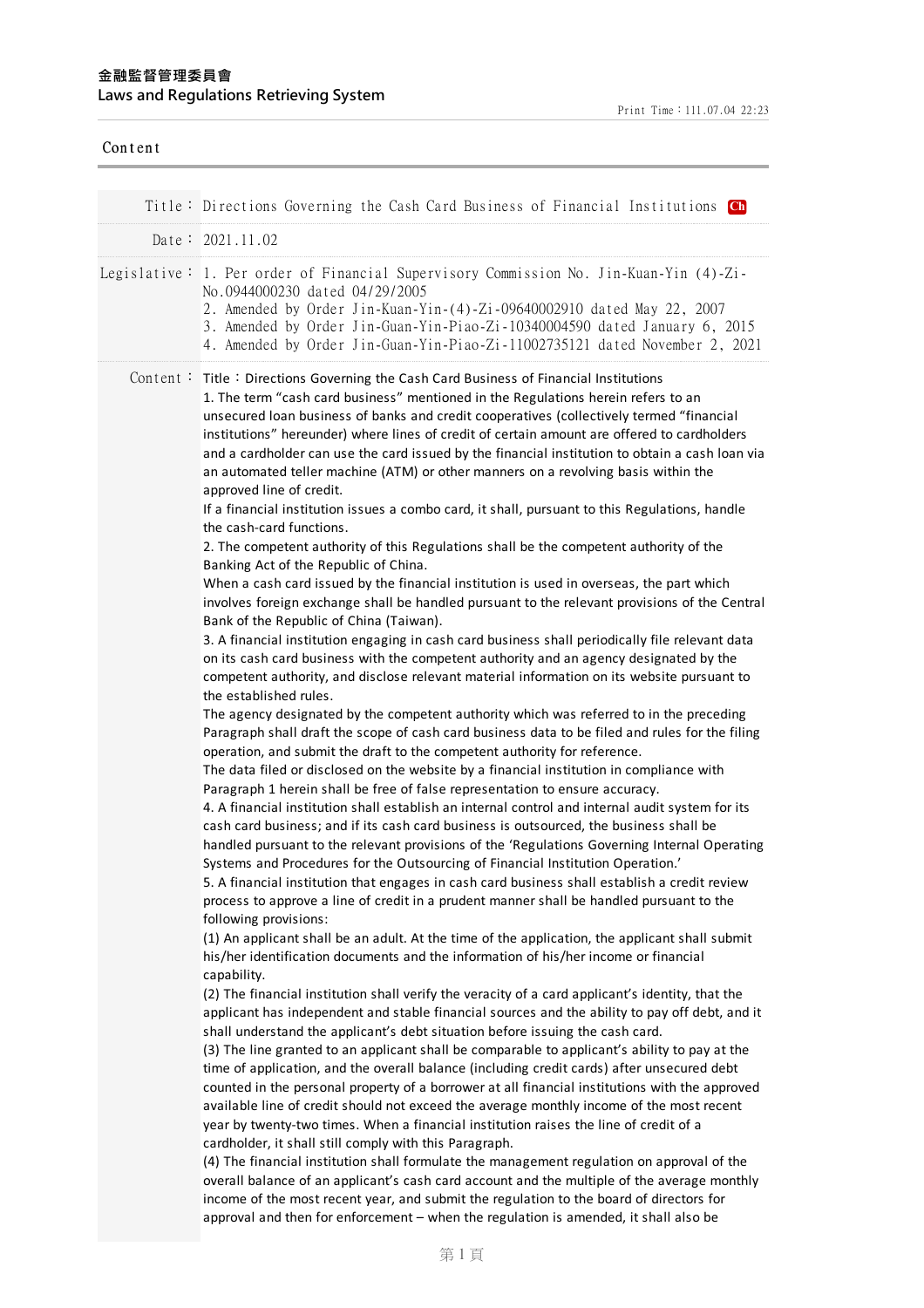| Content |                                                                                                                                                                                                                                                                                                                                                                                                                                                                                                                                                                                                                                                                                                                                                                                                                                                                                                                                                                                                                                                                                                                                                                                                                                                                                              |
|---------|----------------------------------------------------------------------------------------------------------------------------------------------------------------------------------------------------------------------------------------------------------------------------------------------------------------------------------------------------------------------------------------------------------------------------------------------------------------------------------------------------------------------------------------------------------------------------------------------------------------------------------------------------------------------------------------------------------------------------------------------------------------------------------------------------------------------------------------------------------------------------------------------------------------------------------------------------------------------------------------------------------------------------------------------------------------------------------------------------------------------------------------------------------------------------------------------------------------------------------------------------------------------------------------------|
|         | Title: Directions Governing the Cash Card Business of Financial Institutions Ch                                                                                                                                                                                                                                                                                                                                                                                                                                                                                                                                                                                                                                                                                                                                                                                                                                                                                                                                                                                                                                                                                                                                                                                                              |
|         | Date: 2021.11.02                                                                                                                                                                                                                                                                                                                                                                                                                                                                                                                                                                                                                                                                                                                                                                                                                                                                                                                                                                                                                                                                                                                                                                                                                                                                             |
|         | Legislative: 1. Per order of Financial Supervisory Commission No. Jin-Kuan-Yin (4)-Zi-<br>No.0944000230 dated 04/29/2005<br>2. Amended by Order Jin-Kuan-Yin-(4)-Zi-09640002910 dated May 22, 2007<br>3. Amended by Order Jin-Guan-Yin-Piao-Zi-10340004590 dated January 6, 2015<br>4. Amended by Order Jin-Guan-Yin-Piao-Zi-11002735121 dated November 2, 2021                                                                                                                                                                                                                                                                                                                                                                                                                                                                                                                                                                                                                                                                                                                                                                                                                                                                                                                              |
|         | Content: Title: Directions Governing the Cash Card Business of Financial Institutions<br>1. The term "cash card business" mentioned in the Regulations herein refers to an<br>unsecured loan business of banks and credit cooperatives (collectively termed "financial<br>institutions" hereunder) where lines of credit of certain amount are offered to cardholders<br>and a cardholder can use the card issued by the financial institution to obtain a cash loan via<br>an automated teller machine (ATM) or other manners on a revolving basis within the<br>approved line of credit.<br>If a financial institution issues a combo card, it shall, pursuant to this Regulations, handle<br>the cash-card functions.                                                                                                                                                                                                                                                                                                                                                                                                                                                                                                                                                                     |
|         | 2. The competent authority of this Regulations shall be the competent authority of the<br>Banking Act of the Republic of China.<br>When a cash card issued by the financial institution is used in overseas, the part which<br>involves foreign exchange shall be handled pursuant to the relevant provisions of the Central<br>Bank of the Republic of China (Taiwan).<br>3. A financial institution engaging in cash card business shall periodically file relevant data<br>on its cash card business with the competent authority and an agency designated by the<br>competent authority, and disclose relevant material information on its website pursuant to                                                                                                                                                                                                                                                                                                                                                                                                                                                                                                                                                                                                                           |
|         | the established rules.<br>The agency designated by the competent authority which was referred to in the preceding<br>Paragraph shall draft the scope of cash card business data to be filed and rules for the filing<br>operation, and submit the draft to the competent authority for reference.<br>The data filed or disclosed on the website by a financial institution in compliance with<br>Paragraph 1 herein shall be free of false representation to ensure accuracy.<br>4. A financial institution shall establish an internal control and internal audit system for its<br>cash card business; and if its cash card business is outsourced, the business shall be<br>handled pursuant to the relevant provisions of the 'Regulations Governing Internal Operating<br>Systems and Procedures for the Outsourcing of Financial Institution Operation.'<br>5. A financial institution that engages in cash card business shall establish a credit review<br>process to approve a line of credit in a prudent manner shall be handled pursuant to the<br>following provisions:<br>(1) An applicant shall be an adult. At the time of the application, the applicant shall submit<br>his/her identification documents and the information of his/her income or financial<br>capability. |
|         | (2) The financial institution shall verify the veracity of a card applicant's identity, that the<br>applicant has independent and stable financial sources and the ability to pay off debt, and it<br>shall understand the applicant's debt situation before issuing the cash card.<br>(3) The line granted to an applicant shall be comparable to applicant's ability to pay at the<br>time of application, and the overall balance (including credit cards) after unsecured debt<br>counted in the personal property of a borrower at all financial institutions with the approved<br>available line of credit should not exceed the average monthly income of the most recent<br>year by twenty-two times. When a financial institution raises the line of credit of a<br>cardholder, it shall still comply with this Paragraph.<br>(4) The financial institution shall formulate the management regulation on approval of the<br>overall balance of an applicant's cash card account and the multiple of the average monthly<br>income of the most recent year, and submit the regulation to the board of directors for<br>approval and then for enforcement - when the regulation is amended, it shall also be                                                                          |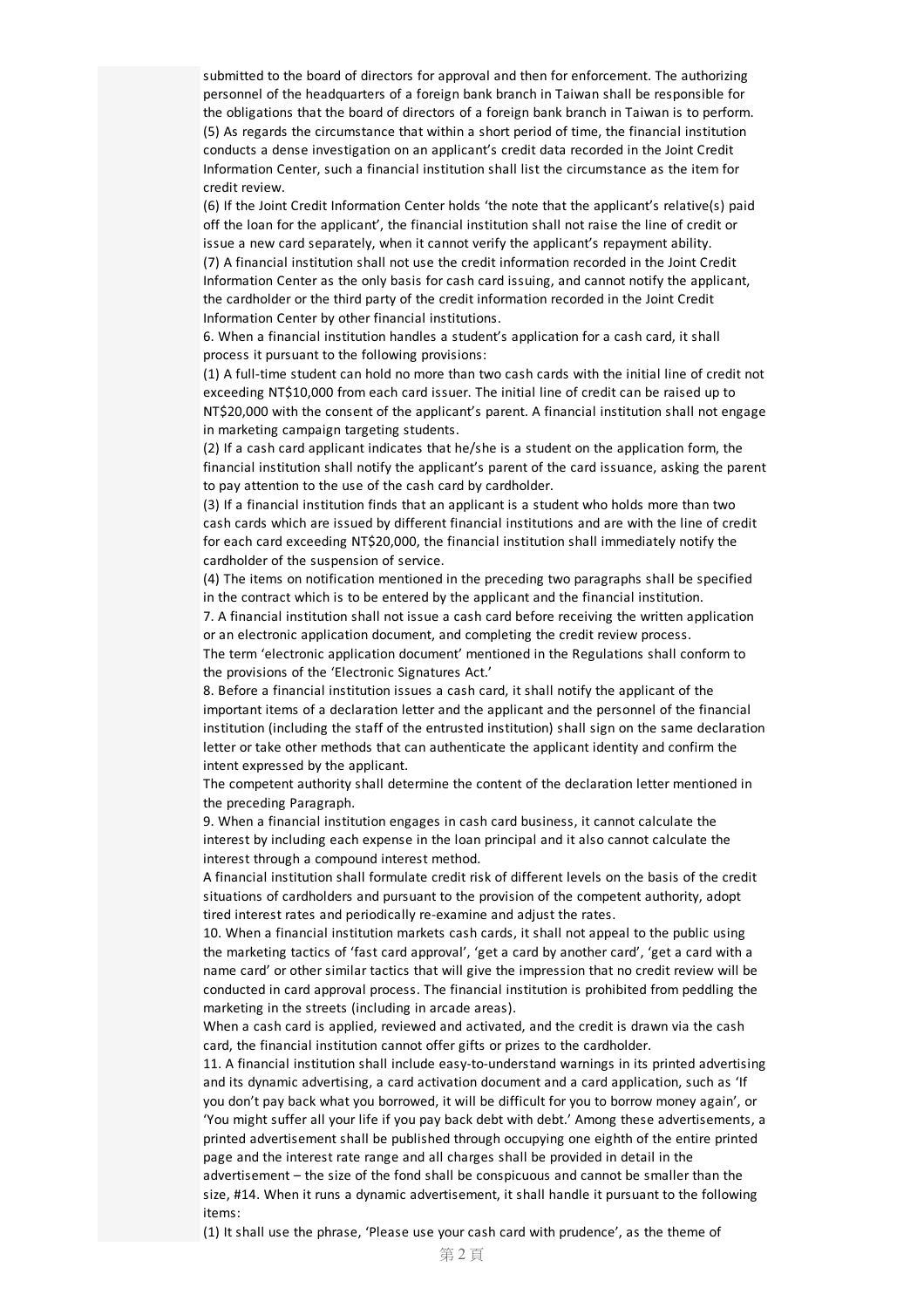submitted to the board of directors for approval and then for enforcement. The authorizing personnel of the headquarters of a foreign bank branch in Taiwan shall be responsible for the obligations that the board of directors of a foreign bank branch in Taiwan is to perform. (5) As regards the circumstance that within a short period of time, the financial institution conducts a dense investigation on an applicant's credit data recorded in the Joint Credit Information Center, such a financial institution shall list the circumstance as the item for credit review.

(6) If the Joint Credit Information Center holds 'the note that the applicant's relative(s) paid off the loan for the applicant', the financial institution shall not raise the line of credit or issue a new card separately, when it cannot verify the applicant's repayment ability. (7) A financial institution shall not use the credit information recorded in the Joint Credit Information Centeras the only basis for cash card issuing, and cannot notify the applicant, the cardholder or the third party of the credit information recorded in the Joint Credit Information Center by other financial institutions.

6. When a financial institution handles a student's application fora cash card, it shall process it pursuant to the following provisions:

(1) A full-time student can hold no more than two cash cards with the initial line of credit not exceeding NT\$10,000 from each card issuer. The initial line of credit can be raised up to NT\$20,000 with the consent of the applicant's parent. A financial institution shall not engage in marketing campaign targeting students.

(2) If a cash card applicant indicates that he/she is a student on the application form, the financial institution shall notify the applicant's parent of the card issuance, asking the parent to pay attention to the use of the cash card by cardholder.

(3) If a financial institution finds that an applicant is a student who holds more than two cash cards which are issued by different financial institutions and are with the line of credit for each card exceeding NT\$20,000, the financial institution shall immediately notify the cardholder of the suspension of service.

(4) The items on notification mentioned in the preceding two paragraphs shall be specified in the contract which is to be entered by the applicant and the financial institution.

7. A financial institution shall not issue a cash card before receiving the written application or an electronic application document, and completing the credit review process.

The term 'electronic application document' mentioned in the Regulations shall conform to the provisions of the 'Electronic Signatures Act.'

8. Before a financial institution issues a cash card, it shall notify the applicant of the important items of a declaration letter and the applicant and the personnel of the financial institution (including the staff of the entrusted institution) shall sign on the same declaration letter or take other methods that can authenticate the applicant identity and confirm the intent expressed by the applicant.

The competent authority shall determine the content of the declaration letter mentioned in the preceding Paragraph.

9. When a financial institution engages in cash card business, it cannot calculate the interest by including each expense in the loan principal and it also cannot calculate the interest through a compound interest method.

A financial institution shall formulate credit risk of different levels on the basis of the credit situations of cardholders and pursuant to the provision of the competent authority, adopt tired interest rates and periodically re-examine and adjust the rates.

10. When a financial institution markets cash cards, it shall not appeal to the public using the marketing tactics of 'fast card approval', 'get a card by another card', 'get a card with a name card' or other similar tactics that will give the impression that no credit review will be conducted in card approval process. The financial institution is prohibited from peddling the marketing in the streets (including in arcade areas).

When a cash card is applied, reviewed and activated, and the credit is drawn via the cash card, the financial institution cannot offergifts or prizes to the cardholder.

11. A financial institution shall include easy-to-understand warnings in its printed advertising and its dynamic advertising, a card activation document and a card application, such as 'If you don't pay back what you borrowed, it will be difficult for you to borrow money again', or 'You might sufferall your life if you pay back debt with debt.' Among these advertisements, a printed advertisement shall be published through occupying one eighth of the entire printed page and the interest rate range and all charges shall be provided in detail in the advertisement – the size of the fond shall be conspicuous and cannot be smaller than the size, #14. When it runs a dynamic advertisement, it shall handle it pursuant to the following items:

(1) It shall use the phrase, 'Please use your cash card with prudence', as the theme of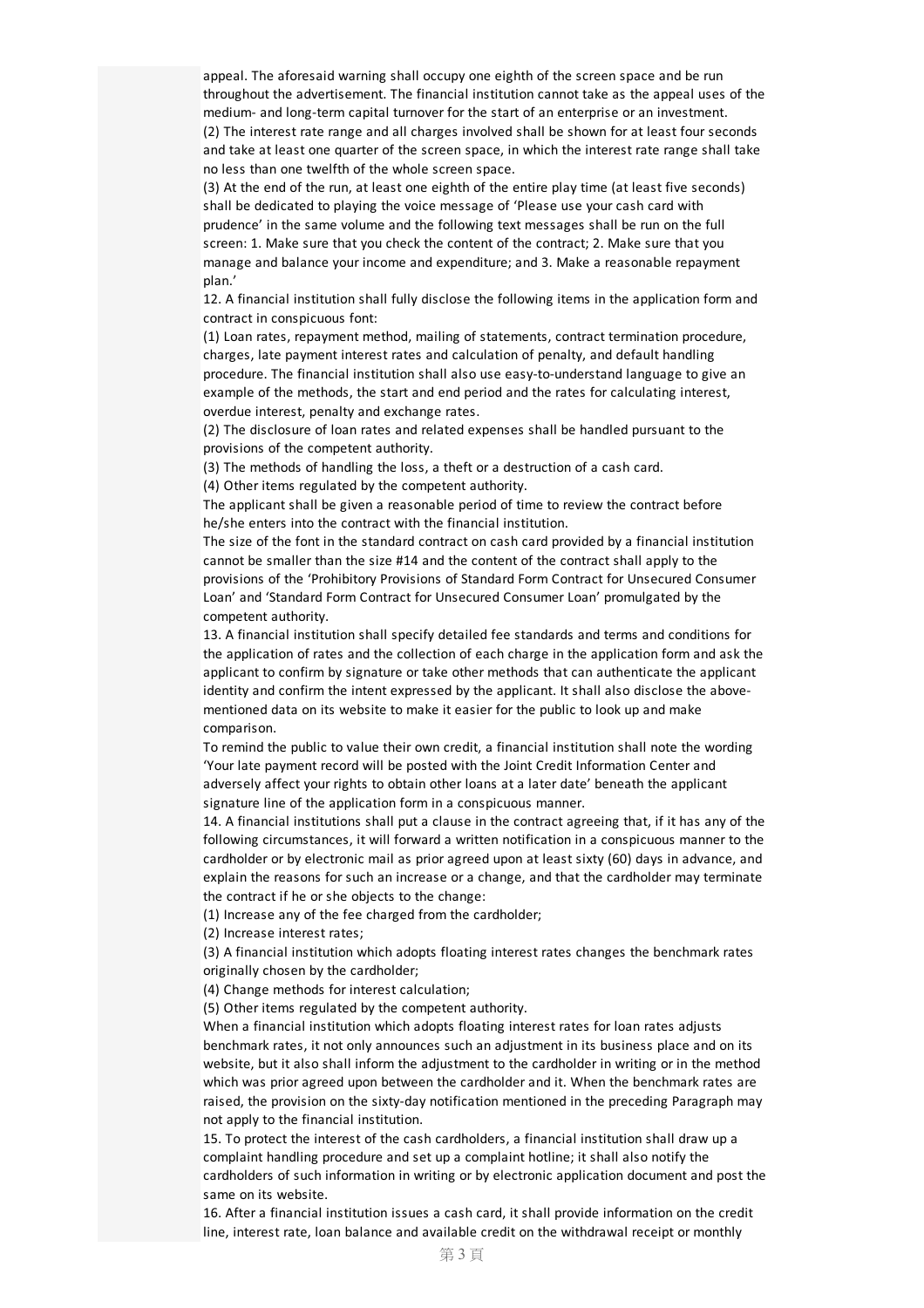appeal. The aforesaid warning shall occupy one eighth of the screen space and be run throughout the advertisement. The financial institution cannot take as the appeal uses of the medium- and long-term capital turnover for the start of an enterprise oran investment. (2) The interest rate range and all charges involved shall be shown forat least four seconds and take at least one quarter of the screen space, in which the interest rate range shall take no less than one twelfth of the whole screen space.

(3) At the end of the run, at least one eighth of the entire play time (at least five seconds) shall be dedicated to playing the voice message of 'Please use your cash card with prudence' in the same volume and the following text messages shall be run on the full screen: 1. Make sure that you check the content of the contract; 2. Make sure that you manage and balance your income and expenditure; and 3. Make a reasonable repayment plan.'

12. A financial institution shall fully disclose the following items in the application form and contract in conspicuous font:

(1) Loan rates, repayment method, mailing of statements, contract termination procedure, charges, late payment interest rates and calculation of penalty, and default handling procedure. The financial institution shall also use easy-to-understand language to give an example of the methods, the start and end period and the rates for calculating interest, overdue interest, penalty and exchange rates.

(2) The disclosure of loan rates and related expenses shall be handled pursuant to the provisions of the competent authority.

(3) The methods of handling the loss, a theft ora destruction of a cash card.

(4) Other items regulated by the competent authority.

The applicant shall be given a reasonable period of time to review the contract before he/she enters into the contract with the financial institution.

The size of the font in the standard contract on cash card provided by a financial institution cannot be smaller than the size #14 and the content of the contract shall apply to the provisions of the 'Prohibitory Provisions of Standard Form Contract for Unsecured Consumer Loan' and 'Standard Form Contract for Unsecured Consumer Loan' promulgated by the competent authority.

13. A financial institution shall specify detailed fee standards and terms and conditions for the application of rates and the collection of each charge in the application form and ask the applicant to confirm by signature or take other methods that can authenticate the applicant identity and confirm the intent expressed by the applicant. It shall also disclose the abovementioned data on its website to make it easier for the public to look up and make comparison.

To remind the public to value their own credit, a financial institution shall note the wording 'Your late payment record will be posted with the Joint Credit Information Centerand adversely affect your rights to obtain other loans at a later date' beneath the applicant signature line of the application form in a conspicuous manner.

14. A financial institutions shall put a clause in the contract agreeing that, if it has any of the following circumstances, it will forward a written notification in a conspicuous manner to the cardholder or by electronic mail as prior agreed upon at least sixty (60) days in advance, and explain the reasons for such an increase or a change, and that the cardholder may terminate the contract if he or she objects to the change:

(1) Increase any of the fee charged from the cardholder;

(2) Increase interest rates;

(3) A financial institution which adopts floating interest rates changes the benchmark rates originally chosen by the cardholder;

(4) Change methods for interest calculation;

(5) Other items regulated by the competent authority.

When a financial institution which adopts floating interest rates for loan rates adjusts benchmark rates, it not only announces such an adjustment in its business place and on its website, but it also shall inform the adjustment to the cardholder in writing or in the method which was prior agreed upon between the cardholder and it. When the benchmark rates are raised, the provision on the sixty-day notification mentioned in the preceding Paragraph may not apply to the financial institution.

15. To protect the interest of the cash cardholders, a financial institution shall draw up a complaint handling procedure and set up a complaint hotline; it shall also notify the cardholders of such information in writing or by electronic application document and post the same on its website.

16. Aftera financial institution issues a cash card, it shall provide information on the credit line, interest rate, loan balance and available credit on the withdrawal receipt or monthly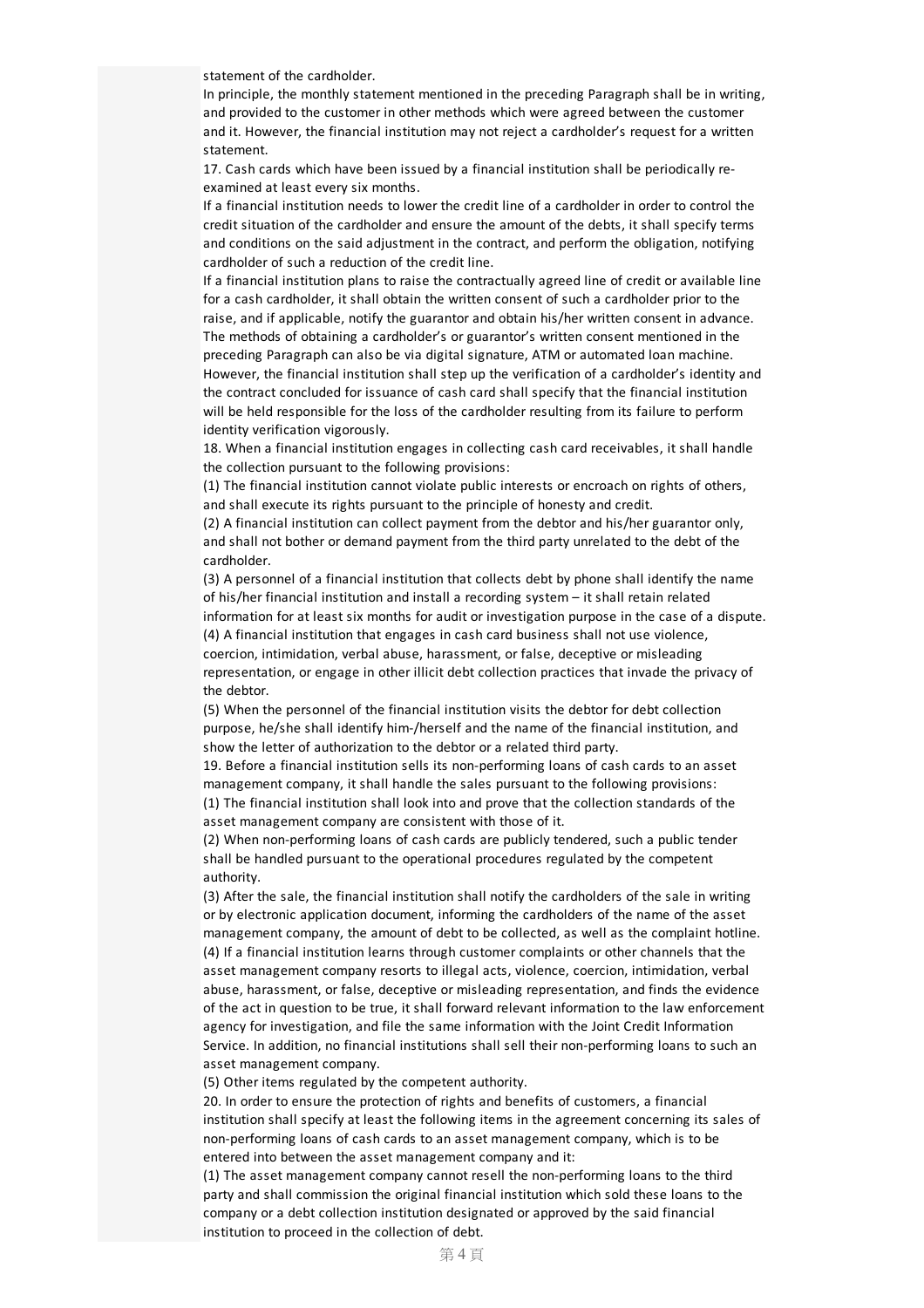statement of the cardholder.

In principle, the monthly statement mentioned in the preceding Paragraph shall be in writing, and provided to the customer in other methods which were agreed between the customer and it. However, the financial institution may not reject a cardholder's request for a written statement.

17. Cash cards which have been issued by a financial institution shall be periodically reexamined at least every six months.

If a financial institution needs to lower the credit line of a cardholder in order to control the credit situation of the cardholder and ensure the amount of the debts, it shall specify terms and conditions on the said adjustment in the contract, and perform the obligation, notifying cardholder of such a reduction of the credit line.

If a financial institution plans to raise the contractually agreed line of credit or available line fora cash cardholder, it shall obtain the written consent of such a cardholder prior to the raise, and if applicable, notify the guarantor and obtain his/her written consent in advance. The methods of obtaining a cardholder's or guarantor's written consent mentioned in the preceding Paragraph can also be via digital signature, ATM or automated loan machine. However, the financial institution shall step up the verification of a cardholder's identity and the contract concluded for issuance of cash card shall specify that the financial institution will be held responsible for the loss of the cardholder resulting from its failure to perform identity verification vigorously.

18. When a financial institution engages in collecting cash card receivables, it shall handle the collection pursuant to the following provisions:

(1) The financial institution cannot violate public interests or encroach on rights of others, and shall execute its rights pursuant to the principle of honesty and credit.

(2) A financial institution can collect payment from the debtorand his/herguarantor only, and shall not bother or demand payment from the third party unrelated to the debt of the cardholder.

(3) A personnel of a financial institution that collects debt by phone shall identify the name of his/her financial institution and install a recording system – it shall retain related information for at least six months for audit or investigation purpose in the case of a dispute. (4) A financial institution that engages in cash card business shall not use violence, coercion, intimidation, verbal abuse, harassment, or false, deceptive or misleading representation, or engage in other illicit debt collection practices that invade the privacy of the debtor.

(5) When the personnel of the financial institution visits the debtor for debt collection purpose, he/she shall identify him-/herself and the name of the financial institution, and show the letter of authorization to the debtor or a related third party.

19. Before a financial institution sells its non-performing loans of cash cards to an asset management company, it shall handle the sales pursuant to the following provisions: (1) The financial institution shall look into and prove that the collection standards of the asset management company are consistent with those of it.

(2) When non-performing loans of cash cards are publicly tendered, such a public tender shall be handled pursuant to the operational procedures regulated by the competent authority.

(3) After the sale, the financial institution shall notify the cardholders of the sale in writing or by electronic application document, informing the cardholders of the name of the asset management company, the amount of debt to be collected, as well as the complaint hotline. (4) If a financial institution learns through customer complaints or other channels that the asset management company resorts to illegal acts, violence, coercion, intimidation, verbal abuse, harassment, or false, deceptive or misleading representation, and finds the evidence of the act in question to be true, it shall forward relevant information to the law enforcement agency for investigation, and file the same information with the Joint Credit Information Service. In addition, no financial institutions shall sell their non-performing loans to such an asset management company.

(5) Other items regulated by the competent authority.

20. In order to ensure the protection of rights and benefits of customers, a financial institution shall specify at least the following items in the agreement concerning its sales of non-performing loans of cash cards to an asset management company, which is to be entered into between the asset management company and it:

(1) The asset management company cannot resell the non-performing loans to the third party and shall commission the original financial institution which sold these loans to the company or a debt collection institution designated or approved by the said financial institution to proceed in the collection of debt.